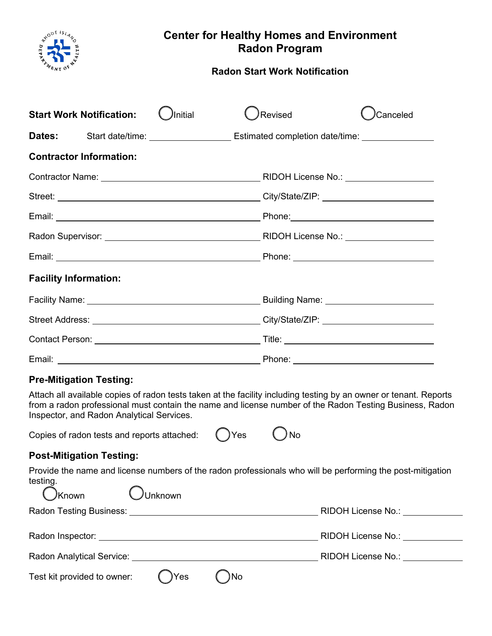

# **Center for Healthy Homes and Environment Radon Program**

## **Radon Start Work Notification**

| <b>Start Work Notification:</b> |                                | Initial | Revised |  | Canceled                                                                                            |
|---------------------------------|--------------------------------|---------|---------|--|-----------------------------------------------------------------------------------------------------|
|                                 |                                |         |         |  | Dates: Start date/time: __________________________ Estimated completion date/time: ________________ |
|                                 | <b>Contractor Information:</b> |         |         |  |                                                                                                     |
|                                 |                                |         |         |  |                                                                                                     |
|                                 |                                |         |         |  |                                                                                                     |
|                                 |                                |         |         |  |                                                                                                     |
|                                 |                                |         |         |  |                                                                                                     |
|                                 |                                |         |         |  |                                                                                                     |
| <b>Facility Information:</b>    |                                |         |         |  |                                                                                                     |
|                                 |                                |         |         |  |                                                                                                     |
|                                 |                                |         |         |  |                                                                                                     |
|                                 |                                |         |         |  |                                                                                                     |
|                                 |                                |         |         |  |                                                                                                     |

### **Pre-Mitigation Testing:**

Attach all available copies of radon tests taken at the facility including testing by an owner or tenant. Reports from a radon professional must contain the name and license number of the Radon Testing Business, Radon Inspector, and Radon Analytical Services.

| Copies of radon tests and reports attached: | $()$ Yes | $\bigcirc$ No |
|---------------------------------------------|----------|---------------|
|                                             |          |               |

# **Post-Mitigation Testing:**

Provide the name and license numbers of the radon professionals who will be performing the post-mitigation testing.  $\epsilon$ ↖

| $\bigcup$ Known                                                                                      | Unknown |                    |                    |
|------------------------------------------------------------------------------------------------------|---------|--------------------|--------------------|
|                                                                                                      |         | RIDOH License No.: |                    |
|                                                                                                      |         |                    |                    |
| Radon Inspector: National Assembly Property and Assembly Property and Assembly Property and Assembly |         |                    | RIDOH License No.: |
| Radon Analytical Service:                                                                            |         |                    | RIDOH License No.: |
| Test kit provided to owner:                                                                          | )Yes    | )No                |                    |